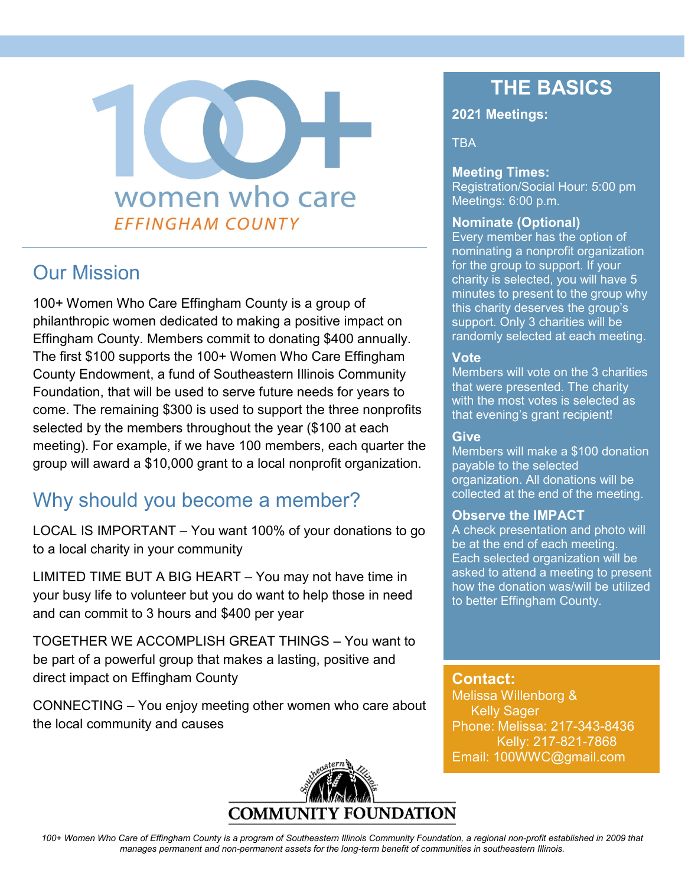# women who care **EFFINGHAM COUNTY**

### Our Mission

100+ Women Who Care Effingham County is a group of philanthropic women dedicated to making a positive impact on Effingham County. Members commit to donating \$400 annually. The first \$100 supports the 100+ Women Who Care Effingham County Endowment, a fund of Southeastern Illinois Community Foundation, that will be used to serve future needs for years to come. The remaining \$300 is used to support the three nonprofits selected by the members throughout the year (\$100 at each meeting). For example, if we have 100 members, each quarter the group will award a \$10,000 grant to a local nonprofit organization.

## Why should you become a member?

LOCAL IS IMPORTANT – You want 100% of your donations to go to a local charity in your community

LIMITED TIME BUT A BIG HEART – You may not have time in your busy life to volunteer but you do want to help those in need and can commit to 3 hours and \$400 per year

TOGETHER WE ACCOMPLISH GREAT THINGS – You want to be part of a powerful group that makes a lasting, positive and direct impact on Effingham County

CONNECTING – You enjoy meeting other women who care about the local community and causes

# **DUNDATION COMMUNI**

## **THE BASICS**

#### **2021 Meetings:**

**TBA** 

#### **Meeting Times:**

Registration/Social Hour: 5:00 pm Meetings: 6:00 p.m.

#### **Nominate (Optional)**

Every member has the option of nominating a nonprofit organization for the group to support. If your charity is selected, you will have 5 minutes to present to the group why this charity deserves the group's support. Only 3 charities will be randomly selected at each meeting.

#### **Vote**

Members will vote on the 3 charities that were presented. The charity with the most votes is selected as that evening's grant recipient!

#### **Give**

Members will make a \$100 donation payable to the selected organization. All donations will be collected at the end of the meeting.

#### **Observe the IMPACT**

A check presentation and photo will be at the end of each meeting. Each selected organization will be asked to attend a meeting to present how the donation was/will be utilized to better Effingham County.

**Contact:** Melissa Willenborg & Kelly Sager Phone: Melissa: 217-343-8436 Kelly: 217-821-7868 Email: 100WWC@gmail.com

*100+ Women Who Care of Effingham County is a program of Southeastern Illinois Community Foundation, a regional non-profit established in 2009 that manages permanent and non-permanent assets for the long-term benefit of communities in southeastern Illinois.*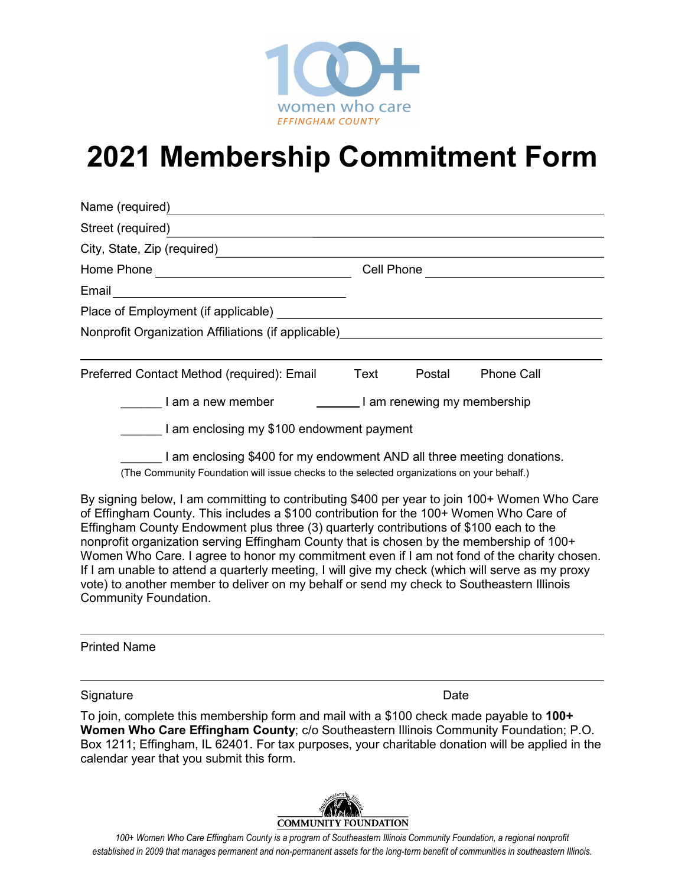

## **2021 Membership Commitment Form**

| Name (required)                                                                                                                                                      |                             |        |                   |
|----------------------------------------------------------------------------------------------------------------------------------------------------------------------|-----------------------------|--------|-------------------|
| Street (required)                                                                                                                                                    |                             |        |                   |
| City, State, Zip (required)                                                                                                                                          |                             |        |                   |
|                                                                                                                                                                      | Cell Phone                  |        |                   |
| Email ___________________________________                                                                                                                            |                             |        |                   |
|                                                                                                                                                                      |                             |        |                   |
| Nonprofit Organization Affiliations (if applicable)_____________________________                                                                                     |                             |        |                   |
|                                                                                                                                                                      |                             |        |                   |
| Preferred Contact Method (required): Email Text                                                                                                                      |                             | Postal | <b>Phone Call</b> |
| I am a new member                                                                                                                                                    | I am renewing my membership |        |                   |
| I am enclosing my \$100 endowment payment                                                                                                                            |                             |        |                   |
| I am enclosing \$400 for my endowment AND all three meeting donations.<br>(The Community Foundation will issue checks to the selected organizations on your behalf.) |                             |        |                   |

By signing below, I am committing to contributing \$400 per year to join 100+ Women Who Care of Effingham County. This includes a \$100 contribution for the 100+ Women Who Care of Effingham County Endowment plus three (3) quarterly contributions of \$100 each to the nonprofit organization serving Effingham County that is chosen by the membership of 100+ Women Who Care. I agree to honor my commitment even if I am not fond of the charity chosen. If I am unable to attend a quarterly meeting, I will give my check (which will serve as my proxy vote) to another member to deliver on my behalf or send my check to Southeastern Illinois Community Foundation.

Printed Name

Signature Date

To join, complete this membership form and mail with a \$100 check made payable to **100+ Women Who Care Effingham County**; c/o Southeastern Illinois Community Foundation; P.O. Box 1211; Effingham, IL 62401. For tax purposes, your charitable donation will be applied in the calendar year that you submit this form.



*100+ Women Who Care Effingham County is a program of Southeastern Illinois Community Foundation, a regional nonprofit established in 2009 that manages permanent and non-permanent assets for the long-term benefit of communities in southeastern Illinois.*